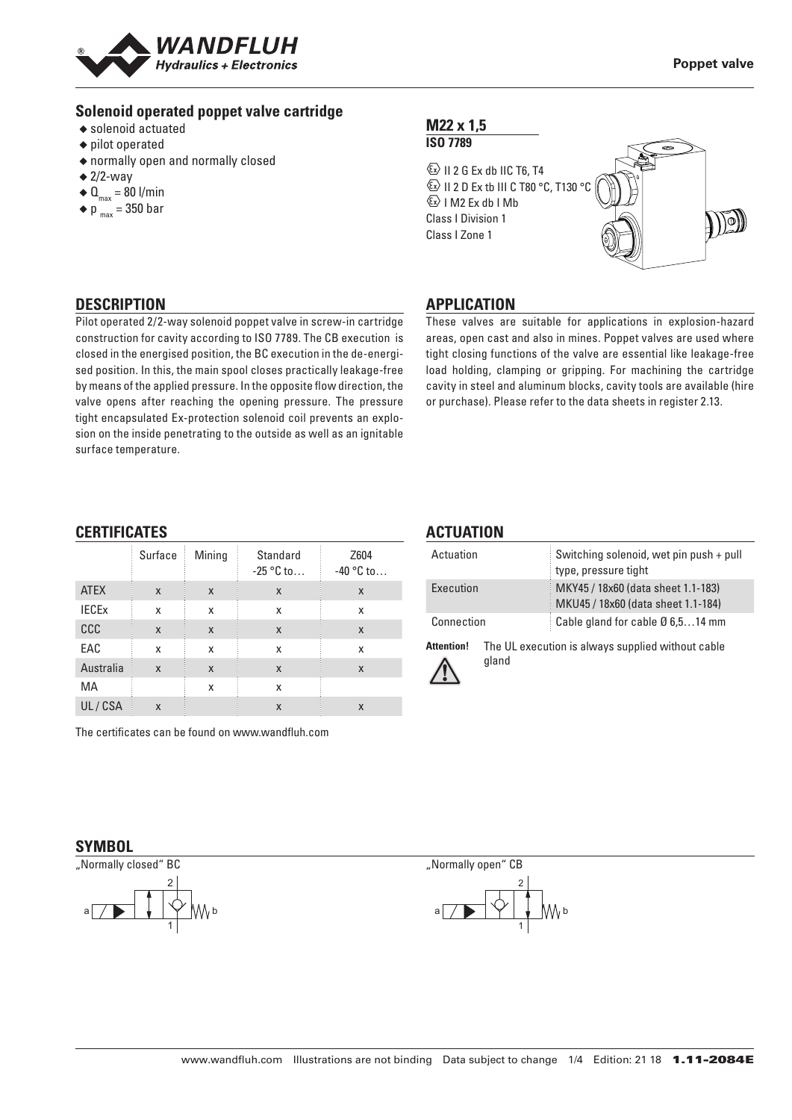

### **Solenoid operated poppet valve cartridge**

- ◆ solenoid actuated
- ◆ pilot operated
- ◆ normally open and normally closed
- $\triangleq$  2/2-way
- $\triangleleft \mathbf{Q}_{\text{max}} = 80 \text{ I/min}$
- $\blacklozenge$  p  $_{\text{max}}$  = 350 bar

### **M22 x 1,5 ISO 7789**

 $\overline{\mathbb{Z}}$  II 2 G Ex db IIC T6, T4 **ED II 2 D Ex tb III C T80 °C, T130 °C**  $\&$  I M2 Ex db I Mb Class I Division 1 Class I Zone 1



## **DESCRIPTION**

Pilot operated 2/2-way solenoid poppet valve in screw-in cartridge construction for cavity according to ISO 7789. The CB execution is closed in the energised position, the BC execution in the de-energised position. In this, the main spool closes practically leakage-free by means of the applied pressure. In the opposite flow direction, the valve opens after reaching the opening pressure. The pressure tight encapsulated Ex-protection solenoid coil prevents an explosion on the inside penetrating to the outside as well as an ignitable surface temperature.

### **APPLICATION**

These valves are suitable for applications in explosion-hazard areas, open cast and also in mines. Poppet valves are used where tight closing functions of the valve are essential like leakage-free load holding, clamping or gripping. For machining the cartridge cavity in steel and aluminum blocks, cavity tools are available (hire or purchase). Please refer to the data sheets in register 2.13.

### **CERTIFICATES**

|              | Surface | Mining | Standard<br>$-25 °C$ to | Z604<br>$-40$ °C to |
|--------------|---------|--------|-------------------------|---------------------|
| <b>ATEX</b>  | X       | X      | X                       | X                   |
| <b>IECEX</b> | X       | X      | x                       | x                   |
| CCC          | X       | X      | X                       | X                   |
| EAC          | X       | X      | x                       | x                   |
| Australia    | X       | X      | X                       | X                   |
| MA           |         | X      | x                       |                     |
| UL/CSA       | X       |        | X                       | X                   |

The certificates can be found on www.wandfluh.com

## **ACTUATION**

| Actuation  | Switching solenoid, wet pin push + pull<br>type, pressure tight          |
|------------|--------------------------------------------------------------------------|
| Execution  | MKY45 / 18x60 (data sheet 1.1-183)<br>MKU45 / 18x60 (data sheet 1.1-184) |
| Connection | Cable gland for cable Ø 6,514 mm                                         |

**Attention!** The UL execution is always supplied without cable



gland

#### **SYMBOL**





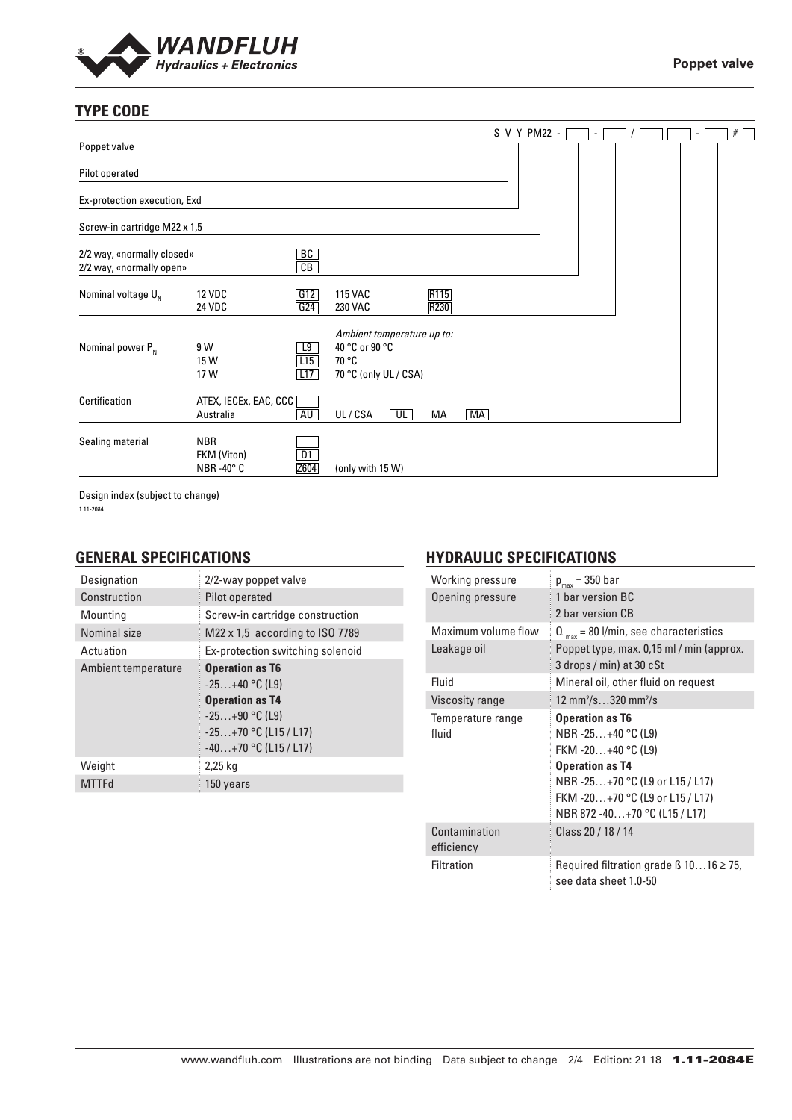

# **TYPE CODE**

|                                                        |                                                   |                       |                                                                                |    |              |    | S V Y PM22 - |  |  |  | $\#$ |  |
|--------------------------------------------------------|---------------------------------------------------|-----------------------|--------------------------------------------------------------------------------|----|--------------|----|--------------|--|--|--|------|--|
| Poppet valve                                           |                                                   |                       |                                                                                |    |              |    |              |  |  |  |      |  |
| Pilot operated                                         |                                                   |                       |                                                                                |    |              |    |              |  |  |  |      |  |
| Ex-protection execution, Exd                           |                                                   |                       |                                                                                |    |              |    |              |  |  |  |      |  |
| Screw-in cartridge M22 x 1,5                           |                                                   |                       |                                                                                |    |              |    |              |  |  |  |      |  |
| 2/2 way, «normally closed»<br>2/2 way, «normally open» |                                                   | BC<br>$\overline{CB}$ |                                                                                |    |              |    |              |  |  |  |      |  |
| Nominal voltage $U_{N}$                                | <b>12 VDC</b><br><b>24 VDC</b>                    | G12<br>G24            | <b>115 VAC</b><br><b>230 VAC</b>                                               |    | R115<br>R230 |    |              |  |  |  |      |  |
| Nominal power $P_{N}$                                  | 9 W<br>15 W<br>17 W                               | L9<br>L15<br>L17      | Ambient temperature up to:<br>40 °C or 90 °C<br>70 °C<br>70 °C (only UL / CSA) |    |              |    |              |  |  |  |      |  |
| Certification                                          | ATEX, IECEx, EAC, CCC<br>Australia                | AU                    | UL/CSA                                                                         | UL | МA           | MA |              |  |  |  |      |  |
| Sealing material                                       | <b>NBR</b><br>FKM (Viton)<br>$NBR - 40^{\circ} C$ | D1<br>Z604            | (only with 15 W)                                                               |    |              |    |              |  |  |  |      |  |
| Design index (subject to change)                       |                                                   |                       |                                                                                |    |              |    |              |  |  |  |      |  |

1.11-2084

### **GENERAL SPECIFICATIONS**

| Designation         | 2/2-way poppet valve                                                                                                                           |
|---------------------|------------------------------------------------------------------------------------------------------------------------------------------------|
| Construction        | Pilot operated                                                                                                                                 |
| Mounting            | Screw-in cartridge construction                                                                                                                |
| Nominal size        | M22 $\times$ 1,5 according to ISO 7789                                                                                                         |
| Actuation           | Ex-protection switching solenoid                                                                                                               |
| Ambient temperature | <b>Operation as T6</b><br>$-25+40$ °C (L9)<br><b>Operation as T4</b><br>$-25+90$ °C (L9)<br>$-25+70$ °C (L15 / L17)<br>$-40+70$ °C (L15 / L17) |
| Weight              | 2,25 kg                                                                                                                                        |
| <b>MTTFd</b>        | 150 years                                                                                                                                      |

## **HYDRAULIC SPECIFICATIONS**

| Working pressure            | $p_{max}$ = 350 bar                                                                                                                                                                                  |
|-----------------------------|------------------------------------------------------------------------------------------------------------------------------------------------------------------------------------------------------|
| Opening pressure            | 1 bar version BC<br>2 bar version CB                                                                                                                                                                 |
| Maximum volume flow         | $Q_{\text{max}}$ = 80 l/min, see characteristics                                                                                                                                                     |
| Leakage oil                 | Poppet type, max. 0,15 ml / min (approx.<br>3 drops / min) at 30 cSt                                                                                                                                 |
| Fluid                       | Mineral oil, other fluid on request                                                                                                                                                                  |
| Viscosity range             | 12 mm <sup>2</sup> /s320 mm <sup>2</sup> /s                                                                                                                                                          |
| Temperature range<br>fluid  | <b>Operation as T6</b><br>NBR -25+40 °C (L9)<br>FKM $-20+40$ °C (L9)<br><b>Operation as T4</b><br>NBR-25+70 °C (L9 or L15 / L17)<br>FKM -20+70 °C (L9 or L15 / L17)<br>NBR 872 -40+70 °C (L15 / L17) |
| Contamination<br>efficiency | Class 20 / 18 / 14                                                                                                                                                                                   |
| <b>Filtration</b>           | Required filtration grade $\beta$ 1016 $\geq$ 75,<br>see data sheet 1.0-50                                                                                                                           |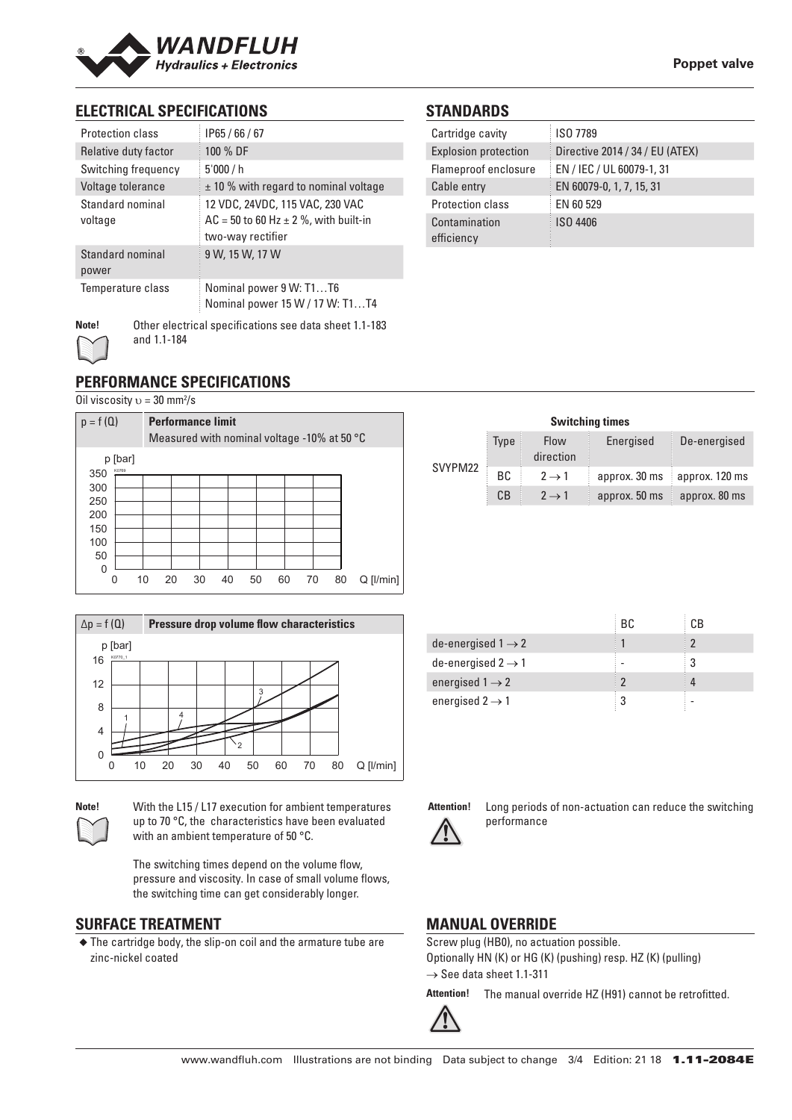

# **ELECTRICAL SPECIFICATIONS**

| <b>Protection class</b>     | IP65/66/67                                                                                          |
|-----------------------------|-----------------------------------------------------------------------------------------------------|
| Relative duty factor        | 100 % DF                                                                                            |
| Switching frequency         | 5'000/h                                                                                             |
| Voltage tolerance           | $\pm$ 10 % with regard to nominal voltage                                                           |
| Standard nominal<br>voltage | 12 VDC, 24VDC, 115 VAC, 230 VAC<br>$AC = 50$ to 60 Hz $\pm$ 2 %, with built-in<br>two-way rectifier |
| Standard nominal<br>power   | 9 W, 15 W, 17 W                                                                                     |
| Temperature class           | Nominal power 9 W: T1T6<br>Nominal power 15 W / 17 W: T1T4                                          |
| <b>Ness</b>                 | Other electrical creative state and detailed at 1.100                                               |

# **STANDARDS**

| Cartridge cavity            | ISO 7789                        |
|-----------------------------|---------------------------------|
| <b>Explosion protection</b> | Directive 2014 / 34 / EU (ATEX) |
| Flameproof enclosure        | EN / IEC / UL 60079-1, 31       |
| Cable entry                 | EN 60079-0, 1, 7, 15, 31        |
| <b>Protection class</b>     | EN 60 529                       |
| Contamination               | ISO 4406                        |
| efficiency                  |                                 |



**Note!** Other electrical specifications see data sheet 1.1-183 and 1.1-184

# **PERFORMANCE SPECIFICATIONS**

Oil viscosity  $v = 30$  mm<sup>2</sup>/s



| $\Delta p = f(Q)$        | Pressure drop volume flow characteristics                 |
|--------------------------|-----------------------------------------------------------|
| p [bar]<br>K0770_1<br>16 |                                                           |
|                          |                                                           |
| 12                       | 3                                                         |
| 8                        |                                                           |
| $\overline{4}$           |                                                           |
| 0                        |                                                           |
| 10                       | $Q$ [ $l/min$ ]<br>50<br>60<br>70<br>80<br>20<br>Зſ<br>40 |

**Note!** With the L15 / L17 execution for ambient temperatures up to 70 °C, the characteristics have been evaluated with an ambient temperature of 50 °C.

> The switching times depend on the volume flow, pressure and viscosity. In case of small volume flows, the switching time can get considerably longer.

### **SURFACE TREATMENT**

◆ The cartridge body, the slip-on coil and the armature tube are zinc-nickel coated

|         |                                         |                   | <b>Switching times</b> |                |
|---------|-----------------------------------------|-------------------|------------------------|----------------|
| SVYPM22 | <b>Type</b><br><b>Flow</b><br>direction |                   | Energised              | De-energised   |
|         | <b>BC</b>                               | $2 \rightarrow 1$ | approx. 30 ms          | approx. 120 ms |
|         | CB                                      | $2 \rightarrow 1$ | approx. 50 ms          | approx. 80 ms  |

|                                | BC. | СB |
|--------------------------------|-----|----|
| de-energised $1 \rightarrow 2$ |     |    |
| de-energised $2 \rightarrow 1$ |     |    |
| energised $1 \rightarrow 2$    |     |    |
| energised $2 \rightarrow 1$    |     |    |



**Attention!** Long periods of non-actuation can reduce the switching performance

# **MANUAL OVERRIDE**

Screw plug (HB0), no actuation possible. Optionally HN (K) or HG (K) (pushing) resp. HZ (K) (pulling)  $\rightarrow$  See data sheet 1.1-311

**Attention!** The manual override HZ (H91) cannot be retrofitted.